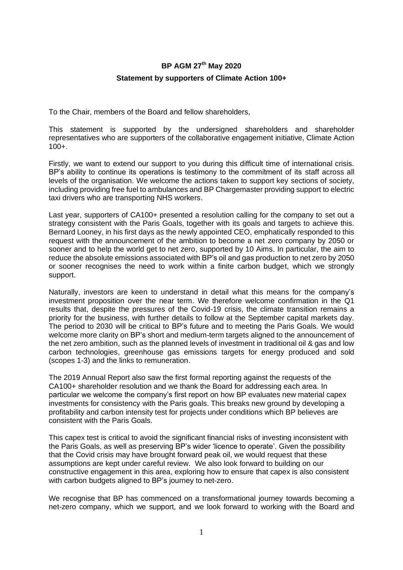## **BP AGM 27 th May 2020**

## **Statement by supporters of Climate Action 100+**

To the Chair, members of the Board and fellow shareholders,

This statement is supported by the undersigned shareholders and shareholder representatives who are supporters of the collaborative engagement initiative, Climate Action  $100 +$ .

Firstly, we want to extend our support to you during this difficult time of international crisis. BP's ability to continue its operations is testimony to the commitment of its staff across all levels of the organisation. We welcome the actions taken to support key sections of society, including providing free fuel to ambulances and BP Chargemaste[r providing support to electric](https://www.bp.com/en/global/corporate/news-and-insights/covid-19-bp-response/inthistogether-our-response-to-covid-19.html#help-for-nhs-heroes)  [taxi drivers](https://www.bp.com/en/global/corporate/news-and-insights/covid-19-bp-response/inthistogether-our-response-to-covid-19.html#help-for-nhs-heroes) who are transporting NHS workers.

Last year, supporters of CA100+ presented a resolution calling for the company to set out a strategy consistent with the Paris Goals, together with its goals and targets to achieve this. Bernard Looney, in his first days as the newly appointed CEO, emphatically responded to this request with the announcement of the ambition to become a net zero company by 2050 or sooner and to help the world get to net zero, supported by 10 Aims. In particular, the aim to reduce the absolute emissions associated with BP's oil and gas production to net zero by 2050 or sooner recognises the need to work within a finite carbon budget, which we strongly support.

Naturally, investors are keen to understand in detail what this means for the company's investment proposition over the near term. We therefore welcome confirmation in the Q1 results that, despite the pressures of the Covid-19 crisis, the climate transition remains a priority for the business, with further details to follow at the September capital markets day. The period to 2030 will be critical to BP's future and to meeting the Paris Goals. We would welcome more clarity on BP's short and medium-term targets aligned to the announcement of the net zero ambition, such as the planned levels of investment in traditional oil & gas and low carbon technologies, greenhouse gas emissions targets for energy produced and sold (scopes 1-3) and the links to remuneration.

The 2019 Annual Report also saw the first formal reporting against the requests of the CA100+ shareholder resolution and we thank the Board for addressing each area. In particular we welcome the company's first report on how BP evaluates new material capex investments for consistency with the Paris goals. This breaks new ground by developing a profitability and carbon intensity test for projects under conditions which BP believes are consistent with the Paris Goals.

This capex test is critical to avoid the significant financial risks of investing inconsistent with the Paris Goals, as well as preserving BP's wider 'licence to operate'. Given the possibility that the Covid crisis may have brought forward peak oil, we would request that these assumptions are kept under careful review. We also look forward to building on our constructive engagement in this area, exploring how to ensure that capex is also consistent with carbon budgets aligned to BP's journey to net-zero.

We recognise that BP has commenced on a transformational journey towards becoming a net-zero company, which we support, and we look forward to working with the Board and